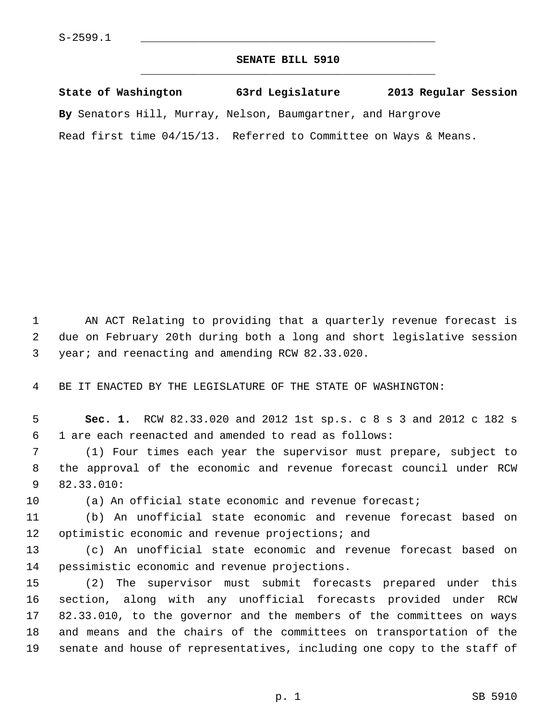## **SENATE BILL 5910** \_\_\_\_\_\_\_\_\_\_\_\_\_\_\_\_\_\_\_\_\_\_\_\_\_\_\_\_\_\_\_\_\_\_\_\_\_\_\_\_\_\_\_\_\_

**State of Washington 63rd Legislature 2013 Regular Session By** Senators Hill, Murray, Nelson, Baumgartner, and Hargrove Read first time 04/15/13. Referred to Committee on Ways & Means.

 1 AN ACT Relating to providing that a quarterly revenue forecast is 2 due on February 20th during both a long and short legislative session 3 year; and reenacting and amending RCW 82.33.020.

4 BE IT ENACTED BY THE LEGISLATURE OF THE STATE OF WASHINGTON:

 5 **Sec. 1.** RCW 82.33.020 and 2012 1st sp.s. c 8 s 3 and 2012 c 182 s 6 1 are each reenacted and amended to read as follows:

 7 (1) Four times each year the supervisor must prepare, subject to 8 the approval of the economic and revenue forecast council under RCW 9 82.33.010:

10 (a) An official state economic and revenue forecast;

11 (b) An unofficial state economic and revenue forecast based on 12 optimistic economic and revenue projections; and

13 (c) An unofficial state economic and revenue forecast based on 14 pessimistic economic and revenue projections.

15 (2) The supervisor must submit forecasts prepared under this 16 section, along with any unofficial forecasts provided under RCW 17 82.33.010, to the governor and the members of the committees on ways 18 and means and the chairs of the committees on transportation of the 19 senate and house of representatives, including one copy to the staff of